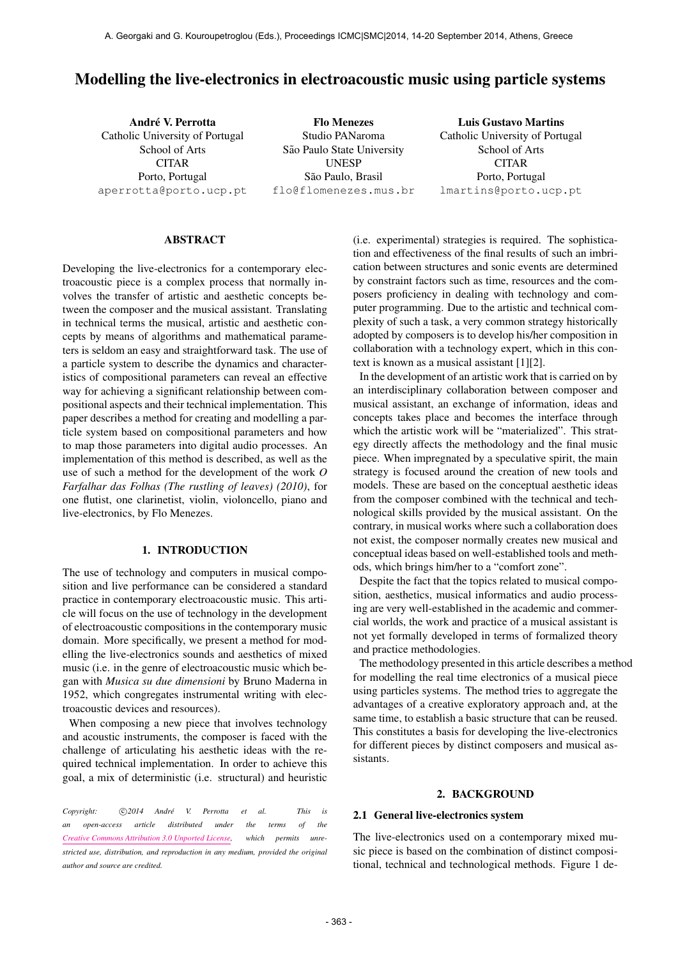# Modelling the live-electronics in electroacoustic music using particle systems

André V. Perrotta Catholic University of Portugal School of Arts **CITAR** Porto, Portugal [aperrotta@porto.ucp.pt](mailto:aperrotta@porto.ucp.pt) Flo Menezes Studio PANaroma São Paulo State University UNESP São Paulo, Brasil [flo@flomenezes.mus.br](mailto:flo@flomenezes.mus.br) Luis Gustavo Martins Catholic University of Portugal School of Arts CITAR Porto, Portugal [lmartins@porto.ucp.pt](mailto:lmartins@porto.ucp.pt)

## ABSTRACT

Developing the live-electronics for a contemporary electroacoustic piece is a complex process that normally involves the transfer of artistic and aesthetic concepts between the composer and the musical assistant. Translating in technical terms the musical, artistic and aesthetic concepts by means of algorithms and mathematical parameters is seldom an easy and straightforward task. The use of a particle system to describe the dynamics and characteristics of compositional parameters can reveal an effective way for achieving a significant relationship between compositional aspects and their technical implementation. This paper describes a method for creating and modelling a particle system based on compositional parameters and how to map those parameters into digital audio processes. An implementation of this method is described, as well as the use of such a method for the development of the work *O Farfalhar das Folhas (The rustling of leaves) (2010)*, for one flutist, one clarinetist, violin, violoncello, piano and live-electronics, by Flo Menezes.

# 1. INTRODUCTION

The use of technology and computers in musical composition and live performance can be considered a standard practice in contemporary electroacoustic music. This article will focus on the use of technology in the development of electroacoustic compositions in the contemporary music domain. More specifically, we present a method for modelling the live-electronics sounds and aesthetics of mixed music (i.e. in the genre of electroacoustic music which began with *Musica su due dimensioni* by Bruno Maderna in 1952, which congregates instrumental writing with electroacoustic devices and resources).

When composing a new piece that involves technology and acoustic instruments, the composer is faced with the challenge of articulating his aesthetic ideas with the required technical implementation. In order to achieve this goal, a mix of deterministic (i.e. structural) and heuristic

*Copyright:*  $\bigcirc$ 2014 André V. Perrotta et al. This is *an open-access article distributed under the terms of the [Creative Commons Attribution 3.0 Unported License,](http://creativecommons.org/licenses/by/3.0/) which permits unrestricted use, distribution, and reproduction in any medium, provided the original author and source are credited.*

(i.e. experimental) strategies is required. The sophistication and effectiveness of the final results of such an imbrication between structures and sonic events are determined by constraint factors such as time, resources and the composers proficiency in dealing with technology and computer programming. Due to the artistic and technical complexity of such a task, a very common strategy historically adopted by composers is to develop his/her composition in collaboration with a technology expert, which in this context is known as a musical assistant [1][2].

In the development of an artistic work that is carried on by an interdisciplinary collaboration between composer and musical assistant, an exchange of information, ideas and concepts takes place and becomes the interface through which the artistic work will be "materialized". This strategy directly affects the methodology and the final music piece. When impregnated by a speculative spirit, the main strategy is focused around the creation of new tools and models. These are based on the conceptual aesthetic ideas from the composer combined with the technical and technological skills provided by the musical assistant. On the contrary, in musical works where such a collaboration does not exist, the composer normally creates new musical and conceptual ideas based on well-established tools and methods, which brings him/her to a "comfort zone".

Despite the fact that the topics related to musical composition, aesthetics, musical informatics and audio processing are very well-established in the academic and commercial worlds, the work and practice of a musical assistant is not yet formally developed in terms of formalized theory and practice methodologies.

The methodology presented in this article describes a method for modelling the real time electronics of a musical piece using particles systems. The method tries to aggregate the advantages of a creative exploratory approach and, at the same time, to establish a basic structure that can be reused. This constitutes a basis for developing the live-electronics for different pieces by distinct composers and musical assistants.

### 2. BACKGROUND

#### 2.1 General live-electronics system

The live-electronics used on a contemporary mixed music piece is based on the combination of distinct compositional, technical and technological methods. Figure 1 de-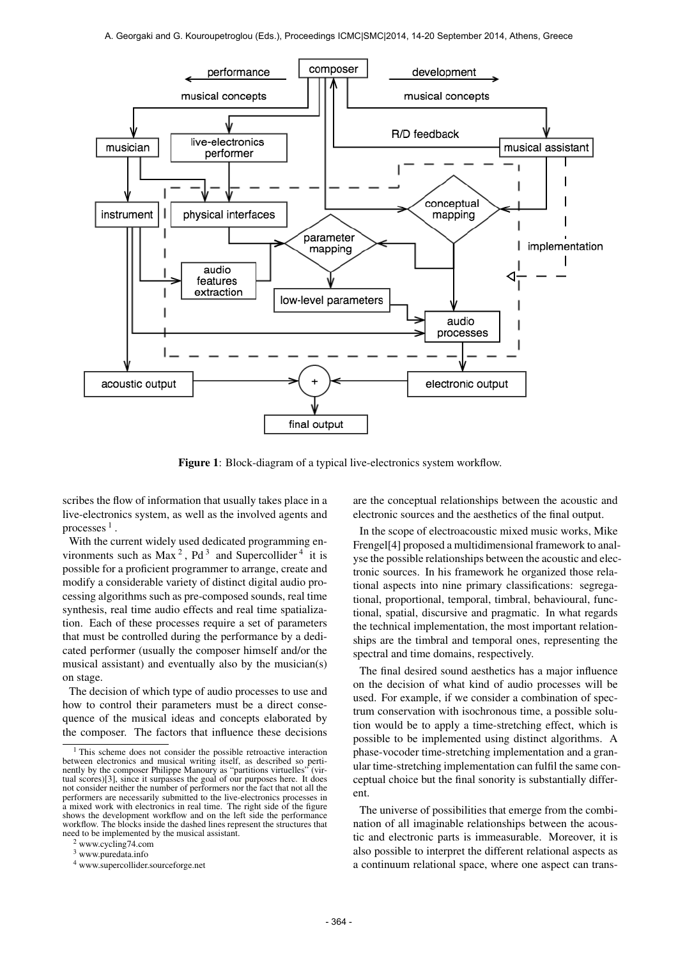

Figure 1: Block-diagram of a typical live-electronics system workflow.

scribes the flow of information that usually takes place in a live-electronics system, as well as the involved agents and processes  $<sup>1</sup>$  .</sup>

With the current widely used dedicated programming environments such as  $Max^2$ ,  $Pd^3$  and Supercollider<sup>4</sup> it is possible for a proficient programmer to arrange, create and modify a considerable variety of distinct digital audio processing algorithms such as pre-composed sounds, real time synthesis, real time audio effects and real time spatialization. Each of these processes require a set of parameters that must be controlled during the performance by a dedicated performer (usually the composer himself and/or the musical assistant) and eventually also by the musician(s) on stage.

The decision of which type of audio processes to use and how to control their parameters must be a direct consequence of the musical ideas and concepts elaborated by the composer. The factors that influence these decisions

<sup>2</sup> www.cycling74.com

are the conceptual relationships between the acoustic and electronic sources and the aesthetics of the final output.

In the scope of electroacoustic mixed music works, Mike Frengel[4] proposed a multidimensional framework to analyse the possible relationships between the acoustic and electronic sources. In his framework he organized those relational aspects into nine primary classifications: segregational, proportional, temporal, timbral, behavioural, functional, spatial, discursive and pragmatic. In what regards the technical implementation, the most important relationships are the timbral and temporal ones, representing the spectral and time domains, respectively.

The final desired sound aesthetics has a major influence on the decision of what kind of audio processes will be used. For example, if we consider a combination of spectrum conservation with isochronous time, a possible solution would be to apply a time-stretching effect, which is possible to be implemented using distinct algorithms. A phase-vocoder time-stretching implementation and a granular time-stretching implementation can fulfil the same conceptual choice but the final sonority is substantially different.

The universe of possibilities that emerge from the combination of all imaginable relationships between the acoustic and electronic parts is immeasurable. Moreover, it is also possible to interpret the different relational aspects as a continuum relational space, where one aspect can trans-

<sup>&</sup>lt;sup>1</sup> This scheme does not consider the possible retroactive interaction between electronics and musical writing itself, as described so perti-nently by the composer Philippe Manoury as "partitions virtuelles" (virtual scores)[3], since it surpasses the goal of our purposes here. It does not consider neither the number of performers nor the fact that not all the performers are necessarily submitted to the live-electronics processes in a mixed work with electronics in real time. The right side of the figure shows the development workflow and on the left side the performance workflow. The blocks inside the dashed lines represent the structures that need to be implemented by the musical assistant.

<sup>3</sup> www.puredata.info

<sup>4</sup> www.supercollider.sourceforge.net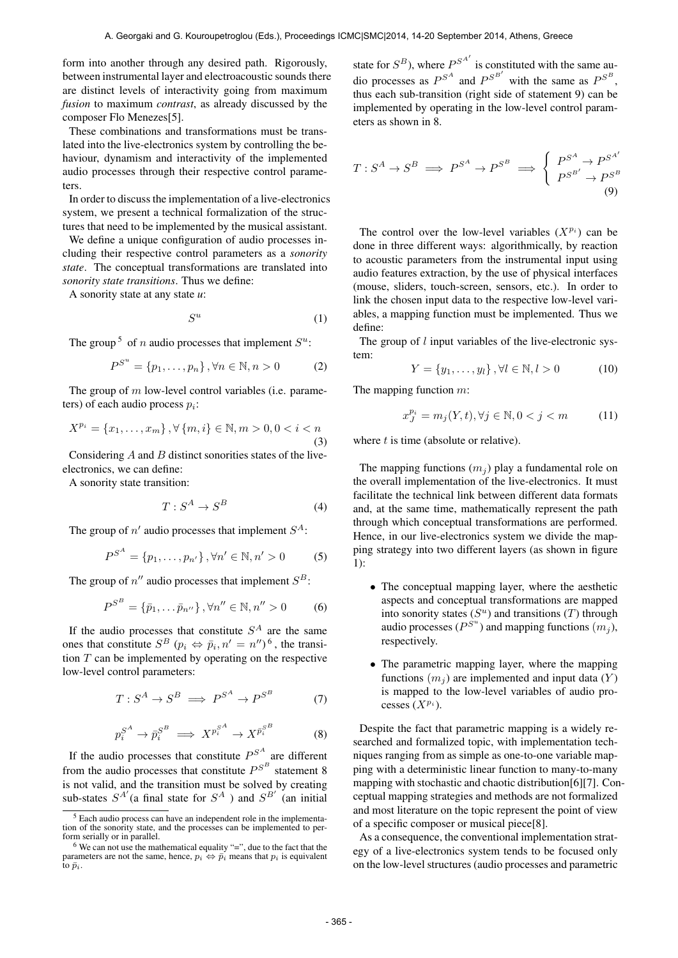form into another through any desired path. Rigorously, between instrumental layer and electroacoustic sounds there are distinct levels of interactivity going from maximum *fusion* to maximum *contrast*, as already discussed by the composer Flo Menezes[5].

These combinations and transformations must be translated into the live-electronics system by controlling the behaviour, dynamism and interactivity of the implemented audio processes through their respective control parameters.

In order to discuss the implementation of a live-electronics system, we present a technical formalization of the structures that need to be implemented by the musical assistant.

We define a unique configuration of audio processes including their respective control parameters as a *sonority state*. The conceptual transformations are translated into *sonority state transitions*. Thus we define:

A sonority state at any state *u*:

$$
S^u \tag{1}
$$

The group<sup>5</sup> of *n* audio processes that implement  $S^u$ :

$$
P^{S^u} = \{p_1, \dots, p_n\}, \forall n \in \mathbb{N}, n > 0
$$
 (2)

The group of  $m$  low-level control variables (i.e. parameters) of each audio process  $p_i$ :

$$
X^{p_i} = \{x_1, \dots, x_m\}, \forall \{m, i\} \in \mathbb{N}, m > 0, 0 < i < n
$$
\n(3)

Considering A and B distinct sonorities states of the liveelectronics, we can define:

A sonority state transition:

$$
T: S^A \to S^B \tag{4}
$$

The group of  $n'$  audio processes that implement  $S^A$ :

$$
P^{S^A} = \{p_1, \dots, p_{n'}\}, \forall n' \in \mathbb{N}, n' > 0 \tag{5}
$$

The group of  $n''$  audio processes that implement  $S^B$ :

$$
P^{S^B} = {\bar{p}_1, \ldots \bar{p}_{n''}}, \forall n'' \in \mathbb{N}, n'' > 0
$$
 (6)

If the audio processes that constitute  $S<sup>A</sup>$  are the same ones that constitute  $S^B$   $(p_i \Leftrightarrow \bar{p}_i, n' = n'')^6$ , the transition T can be implemented by operating on the respective low-level control parameters:

$$
T: S^A \to S^B \implies P^{S^A} \to P^{S^B} \tag{7}
$$

$$
p_i^{S^A} \to \bar{p}_i^{S^B} \implies X^{p_i^{S^A}} \to X^{\bar{p}_i^{S^B}} \tag{8}
$$

If the audio processes that constitute  $P^{S^A}$  are different from the audio processes that constitute  $P^{S^B}$  statement 8 is not valid, and the transition must be solved by creating sub-states  $S^{A'}$  (a final state for  $S^A$  ) and  $S^{B'}$  (an initial

state for  $S^B$ ), where  $P^{S^{A'}}$  is constituted with the same audio processes as  $P^{S^A}$  and  $P^{S^{B'}}$  with the same as  $P^{S^B}$ , thus each sub-transition (right side of statement 9) can be implemented by operating in the low-level control parameters as shown in 8.

$$
T: S^A \to S^B \implies P^{S^A} \to P^{S^B} \implies \begin{cases} P^{S^A} \to P^{S^{A'}}\\ P^{S^{B'}} \to P^{S^B} \end{cases} (9)
$$

The control over the low-level variables  $(X^{p_i})$  can be done in three different ways: algorithmically, by reaction to acoustic parameters from the instrumental input using audio features extraction, by the use of physical interfaces (mouse, sliders, touch-screen, sensors, etc.). In order to link the chosen input data to the respective low-level variables, a mapping function must be implemented. Thus we define:

The group of l input variables of the live-electronic system:

$$
Y = \{y_1, \dots, y_l\}, \forall l \in \mathbb{N}, l > 0
$$
 (10)

The mapping function 
$$
m
$$
:

$$
x_J^{p_i} = m_j(Y, t), \forall j \in \mathbb{N}, 0 < j < m \tag{11}
$$

where  $t$  is time (absolute or relative).

The mapping functions  $(m_i)$  play a fundamental role on the overall implementation of the live-electronics. It must facilitate the technical link between different data formats and, at the same time, mathematically represent the path through which conceptual transformations are performed. Hence, in our live-electronics system we divide the mapping strategy into two different layers (as shown in figure 1):

- The conceptual mapping layer, where the aesthetic aspects and conceptual transformations are mapped into sonority states  $(S^u)$  and transitions  $(T)$  through audio processes ( $P^{S^u}$ ) and mapping functions  $(m_j)$ , respectively.
- The parametric mapping layer, where the mapping functions  $(m<sub>i</sub>)$  are implemented and input data  $(Y)$ is mapped to the low-level variables of audio processes  $(X^{p_i})$ .

Despite the fact that parametric mapping is a widely researched and formalized topic, with implementation techniques ranging from as simple as one-to-one variable mapping with a deterministic linear function to many-to-many mapping with stochastic and chaotic distribution[6][7]. Conceptual mapping strategies and methods are not formalized and most literature on the topic represent the point of view of a specific composer or musical piece[8].

As a consequence, the conventional implementation strategy of a live-electronics system tends to be focused only on the low-level structures (audio processes and parametric

<sup>5</sup> Each audio process can have an independent role in the implementation of the sonority state, and the processes can be implemented to perform serially or in parallel.

 $6$  We can not use the mathematical equality "=", due to the fact that the parameters are not the same, hence,  $p_i \leftrightarrow \bar{p_i}$  means that  $p_i$  is equivalent to  $\bar{p}_i$ .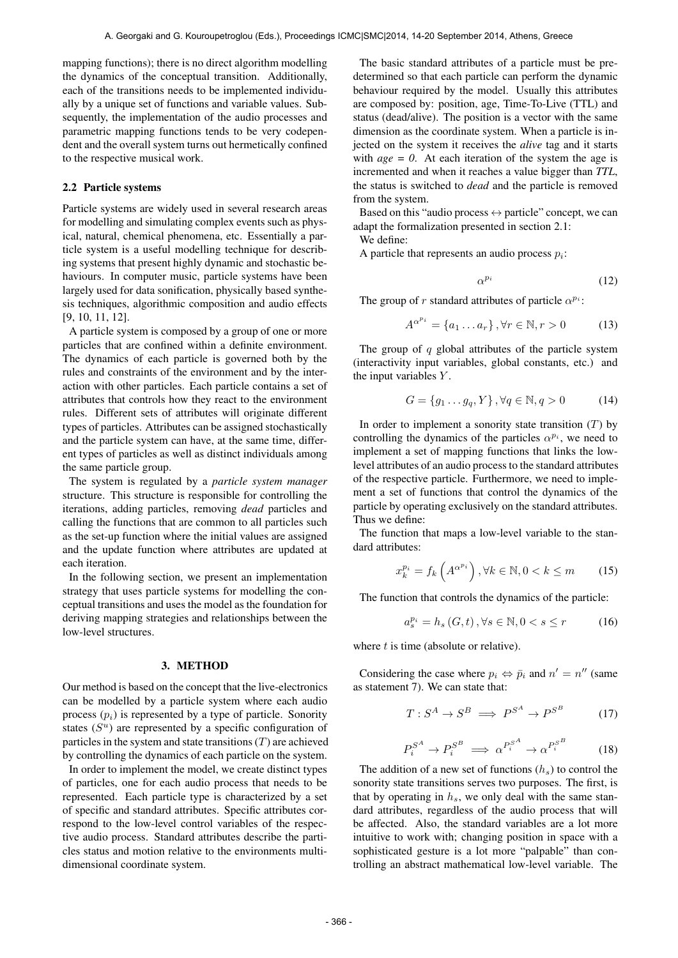mapping functions); there is no direct algorithm modelling the dynamics of the conceptual transition. Additionally, each of the transitions needs to be implemented individually by a unique set of functions and variable values. Subsequently, the implementation of the audio processes and parametric mapping functions tends to be very codependent and the overall system turns out hermetically confined to the respective musical work.

## 2.2 Particle systems

Particle systems are widely used in several research areas for modelling and simulating complex events such as physical, natural, chemical phenomena, etc. Essentially a particle system is a useful modelling technique for describing systems that present highly dynamic and stochastic behaviours. In computer music, particle systems have been largely used for data sonification, physically based synthesis techniques, algorithmic composition and audio effects [9, 10, 11, 12].

A particle system is composed by a group of one or more particles that are confined within a definite environment. The dynamics of each particle is governed both by the rules and constraints of the environment and by the interaction with other particles. Each particle contains a set of attributes that controls how they react to the environment rules. Different sets of attributes will originate different types of particles. Attributes can be assigned stochastically and the particle system can have, at the same time, different types of particles as well as distinct individuals among the same particle group.

The system is regulated by a *particle system manager* structure. This structure is responsible for controlling the iterations, adding particles, removing *dead* particles and calling the functions that are common to all particles such as the set-up function where the initial values are assigned and the update function where attributes are updated at each iteration.

In the following section, we present an implementation strategy that uses particle systems for modelling the conceptual transitions and uses the model as the foundation for deriving mapping strategies and relationships between the low-level structures.

# 3. METHOD

Our method is based on the concept that the live-electronics can be modelled by a particle system where each audio process  $(p_i)$  is represented by a type of particle. Sonority states  $(S^u)$  are represented by a specific configuration of particles in the system and state transitions  $(T)$  are achieved by controlling the dynamics of each particle on the system.

In order to implement the model, we create distinct types of particles, one for each audio process that needs to be represented. Each particle type is characterized by a set of specific and standard attributes. Specific attributes correspond to the low-level control variables of the respective audio process. Standard attributes describe the particles status and motion relative to the environments multidimensional coordinate system.

The basic standard attributes of a particle must be predetermined so that each particle can perform the dynamic behaviour required by the model. Usually this attributes are composed by: position, age, Time-To-Live (TTL) and status (dead/alive). The position is a vector with the same dimension as the coordinate system. When a particle is injected on the system it receives the *alive* tag and it starts with  $age = 0$ . At each iteration of the system the age is incremented and when it reaches a value bigger than *TTL*, the status is switched to *dead* and the particle is removed from the system.

Based on this "audio process  $\leftrightarrow$  particle" concept, we can adapt the formalization presented in section 2.1:

We define:

A particle that represents an audio process  $p_i$ :

$$
\alpha^{p_i} \tag{12}
$$

The group of r standard attributes of particle  $\alpha^{p_i}$ :

$$
A^{\alpha^{p_i}} = \{a_1 \dots a_r\}, \forall r \in \mathbb{N}, r > 0 \tag{13}
$$

The group of  $q$  global attributes of the particle system (interactivity input variables, global constants, etc.) and the input variables  $Y$ .

$$
G = \{g_1 \dots g_q, Y\}, \forall q \in \mathbb{N}, q > 0 \tag{14}
$$

In order to implement a sonority state transition  $(T)$  by controlling the dynamics of the particles  $\alpha^{p_i}$ , we need to implement a set of mapping functions that links the lowlevel attributes of an audio process to the standard attributes of the respective particle. Furthermore, we need to implement a set of functions that control the dynamics of the particle by operating exclusively on the standard attributes. Thus we define:

The function that maps a low-level variable to the standard attributes:

$$
x_k^{p_i} = f_k\left(A^{\alpha^{p_i}}\right), \forall k \in \mathbb{N}, 0 < k \le m \tag{15}
$$

The function that controls the dynamics of the particle:

$$
a_s^{p_i} = h_s(G, t), \forall s \in \mathbb{N}, 0 < s \le r \tag{16}
$$

where  $t$  is time (absolute or relative).

Considering the case where  $p_i \Leftrightarrow \bar{p}_i$  and  $n' = n''$  (same as statement 7). We can state that:

$$
T: S^A \to S^B \implies P^{S^A} \to P^{S^B} \tag{17}
$$

$$
P_i^{S^A} \to P_i^{S^B} \implies \alpha^{P_i^{S^A}} \to \alpha^{P_i^{S^B}} \tag{18}
$$

The addition of a new set of functions  $(h_s)$  to control the sonority state transitions serves two purposes. The first, is that by operating in  $h_s$ , we only deal with the same standard attributes, regardless of the audio process that will be affected. Also, the standard variables are a lot more intuitive to work with; changing position in space with a sophisticated gesture is a lot more "palpable" than controlling an abstract mathematical low-level variable. The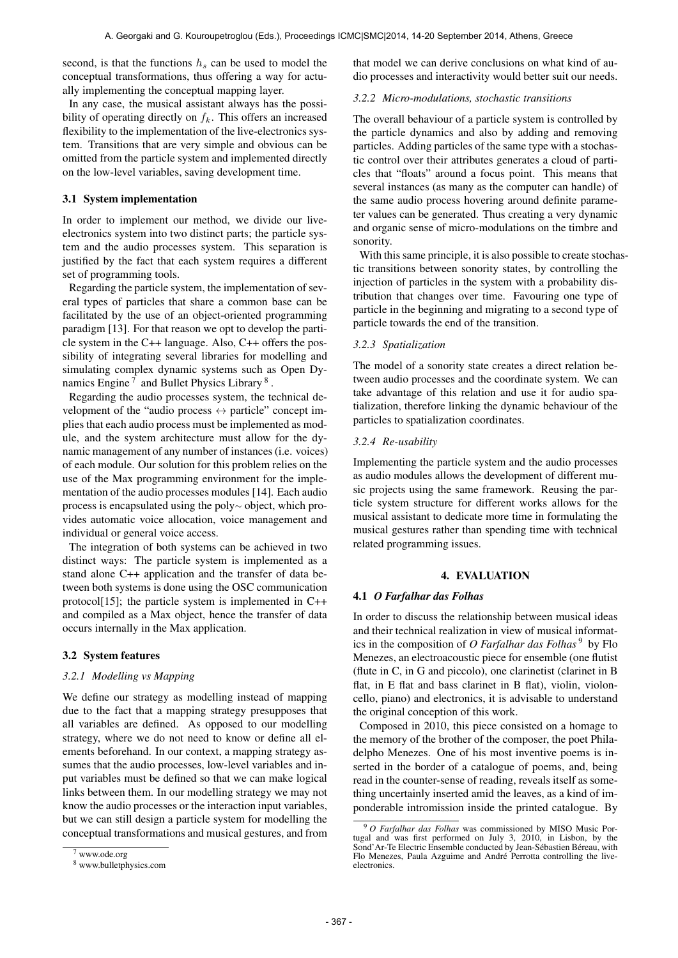second, is that the functions  $h_s$  can be used to model the conceptual transformations, thus offering a way for actually implementing the conceptual mapping layer.

In any case, the musical assistant always has the possibility of operating directly on  $f_k$ . This offers an increased flexibility to the implementation of the live-electronics system. Transitions that are very simple and obvious can be omitted from the particle system and implemented directly on the low-level variables, saving development time.

# 3.1 System implementation

In order to implement our method, we divide our liveelectronics system into two distinct parts; the particle system and the audio processes system. This separation is justified by the fact that each system requires a different set of programming tools.

Regarding the particle system, the implementation of several types of particles that share a common base can be facilitated by the use of an object-oriented programming paradigm [13]. For that reason we opt to develop the particle system in the C++ language. Also, C++ offers the possibility of integrating several libraries for modelling and simulating complex dynamic systems such as Open Dynamics Engine<sup>7</sup> and Bullet Physics Library<sup>8</sup>.

Regarding the audio processes system, the technical development of the "audio process  $\leftrightarrow$  particle" concept implies that each audio process must be implemented as module, and the system architecture must allow for the dynamic management of any number of instances (i.e. voices) of each module. Our solution for this problem relies on the use of the Max programming environment for the implementation of the audio processes modules [14]. Each audio process is encapsulated using the poly<sup>∼</sup> object, which provides automatic voice allocation, voice management and individual or general voice access.

The integration of both systems can be achieved in two distinct ways: The particle system is implemented as a stand alone C++ application and the transfer of data between both systems is done using the OSC communication protocol[15]; the particle system is implemented in C++ and compiled as a Max object, hence the transfer of data occurs internally in the Max application.

# 3.2 System features

# *3.2.1 Modelling vs Mapping*

We define our strategy as modelling instead of mapping due to the fact that a mapping strategy presupposes that all variables are defined. As opposed to our modelling strategy, where we do not need to know or define all elements beforehand. In our context, a mapping strategy assumes that the audio processes, low-level variables and input variables must be defined so that we can make logical links between them. In our modelling strategy we may not know the audio processes or the interaction input variables, but we can still design a particle system for modelling the conceptual transformations and musical gestures, and from that model we can derive conclusions on what kind of audio processes and interactivity would better suit our needs.

#### *3.2.2 Micro-modulations, stochastic transitions*

The overall behaviour of a particle system is controlled by the particle dynamics and also by adding and removing particles. Adding particles of the same type with a stochastic control over their attributes generates a cloud of particles that "floats" around a focus point. This means that several instances (as many as the computer can handle) of the same audio process hovering around definite parameter values can be generated. Thus creating a very dynamic and organic sense of micro-modulations on the timbre and sonority.

With this same principle, it is also possible to create stochastic transitions between sonority states, by controlling the injection of particles in the system with a probability distribution that changes over time. Favouring one type of particle in the beginning and migrating to a second type of particle towards the end of the transition.

## *3.2.3 Spatialization*

The model of a sonority state creates a direct relation between audio processes and the coordinate system. We can take advantage of this relation and use it for audio spatialization, therefore linking the dynamic behaviour of the particles to spatialization coordinates.

## *3.2.4 Re-usability*

Implementing the particle system and the audio processes as audio modules allows the development of different music projects using the same framework. Reusing the particle system structure for different works allows for the musical assistant to dedicate more time in formulating the musical gestures rather than spending time with technical related programming issues.

# 4. EVALUATION

# 4.1 *O Farfalhar das Folhas*

In order to discuss the relationship between musical ideas and their technical realization in view of musical informatics in the composition of *O Farfalhar das Folhas* 9 by Flo Menezes, an electroacoustic piece for ensemble (one flutist (flute in C, in G and piccolo), one clarinetist (clarinet in B flat, in E flat and bass clarinet in B flat), violin, violoncello, piano) and electronics, it is advisable to understand the original conception of this work.

Composed in 2010, this piece consisted on a homage to the memory of the brother of the composer, the poet Philadelpho Menezes. One of his most inventive poems is inserted in the border of a catalogue of poems, and, being read in the counter-sense of reading, reveals itself as something uncertainly inserted amid the leaves, as a kind of imponderable intromission inside the printed catalogue. By

 $7$  www.ode.org

<sup>8</sup> www.bulletphysics.com

<sup>9</sup> *O Farfalhar das Folhas* was commissioned by MISO Music Portugal and was first performed on July 3, 2010, in Lisbon, by the Sond' Ar-Te Electric Ensemble conducted by Jean-Sébastien Béreau, with Flo Menezes, Paula Azguime and André Perrotta controlling the liveelectronics.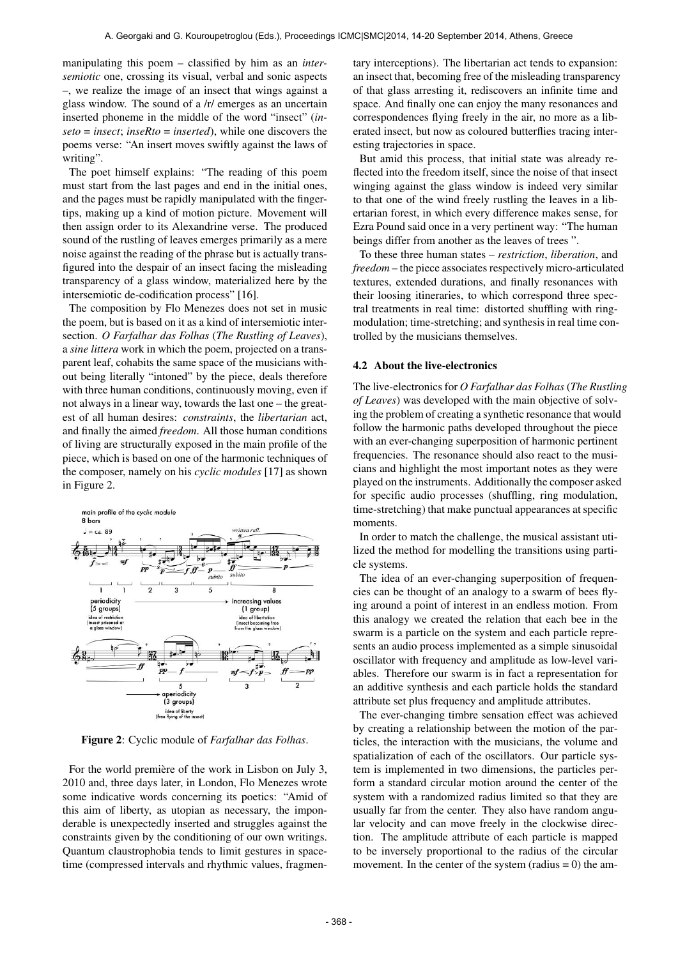manipulating this poem – classified by him as an *intersemiotic* one, crossing its visual, verbal and sonic aspects –, we realize the image of an insect that wings against a glass window. The sound of a /r/ emerges as an uncertain inserted phoneme in the middle of the word "insect" (*inseto* = *insect*; *inseRto* = *inserted*), while one discovers the poems verse: "An insert moves swiftly against the laws of writing".

The poet himself explains: "The reading of this poem must start from the last pages and end in the initial ones, and the pages must be rapidly manipulated with the fingertips, making up a kind of motion picture. Movement will then assign order to its Alexandrine verse. The produced sound of the rustling of leaves emerges primarily as a mere noise against the reading of the phrase but is actually transfigured into the despair of an insect facing the misleading transparency of a glass window, materialized here by the intersemiotic de-codification process" [16].

The composition by Flo Menezes does not set in music the poem, but is based on it as a kind of intersemiotic intersection. *O Farfalhar das Folhas* (*The Rustling of Leaves*), a *sine littera* work in which the poem, projected on a transparent leaf, cohabits the same space of the musicians without being literally "intoned" by the piece, deals therefore with three human conditions, continuously moving, even if not always in a linear way, towards the last one – the greatest of all human desires: *constraints*, the *libertarian* act, and finally the aimed *freedom*. All those human conditions of living are structurally exposed in the main profile of the piece, which is based on one of the harmonic techniques of the composer, namely on his *cyclic modules* [17] as shown in Figure 2.



Figure 2: Cyclic module of *Farfalhar das Folhas*.

For the world première of the work in Lisbon on July 3, 2010 and, three days later, in London, Flo Menezes wrote some indicative words concerning its poetics: "Amid of this aim of liberty, as utopian as necessary, the imponderable is unexpectedly inserted and struggles against the constraints given by the conditioning of our own writings. Quantum claustrophobia tends to limit gestures in spacetime (compressed intervals and rhythmic values, fragmentary interceptions). The libertarian act tends to expansion: an insect that, becoming free of the misleading transparency of that glass arresting it, rediscovers an infinite time and space. And finally one can enjoy the many resonances and correspondences flying freely in the air, no more as a liberated insect, but now as coloured butterflies tracing interesting trajectories in space.

But amid this process, that initial state was already reflected into the freedom itself, since the noise of that insect winging against the glass window is indeed very similar to that one of the wind freely rustling the leaves in a libertarian forest, in which every difference makes sense, for Ezra Pound said once in a very pertinent way: "The human beings differ from another as the leaves of trees ".

To these three human states – *restriction*, *liberation*, and *freedom* – the piece associates respectively micro-articulated textures, extended durations, and finally resonances with their loosing itineraries, to which correspond three spectral treatments in real time: distorted shuffling with ringmodulation; time-stretching; and synthesis in real time controlled by the musicians themselves.

### 4.2 About the live-electronics

The live-electronics for *O Farfalhar das Folhas*(*The Rustling of Leaves*) was developed with the main objective of solving the problem of creating a synthetic resonance that would follow the harmonic paths developed throughout the piece with an ever-changing superposition of harmonic pertinent frequencies. The resonance should also react to the musicians and highlight the most important notes as they were played on the instruments. Additionally the composer asked for specific audio processes (shuffling, ring modulation, time-stretching) that make punctual appearances at specific moments.

In order to match the challenge, the musical assistant utilized the method for modelling the transitions using particle systems.

The idea of an ever-changing superposition of frequencies can be thought of an analogy to a swarm of bees flying around a point of interest in an endless motion. From this analogy we created the relation that each bee in the swarm is a particle on the system and each particle represents an audio process implemented as a simple sinusoidal oscillator with frequency and amplitude as low-level variables. Therefore our swarm is in fact a representation for an additive synthesis and each particle holds the standard attribute set plus frequency and amplitude attributes.

The ever-changing timbre sensation effect was achieved by creating a relationship between the motion of the particles, the interaction with the musicians, the volume and spatialization of each of the oscillators. Our particle system is implemented in two dimensions, the particles perform a standard circular motion around the center of the system with a randomized radius limited so that they are usually far from the center. They also have random angular velocity and can move freely in the clockwise direction. The amplitude attribute of each particle is mapped to be inversely proportional to the radius of the circular movement. In the center of the system (radius  $= 0$ ) the am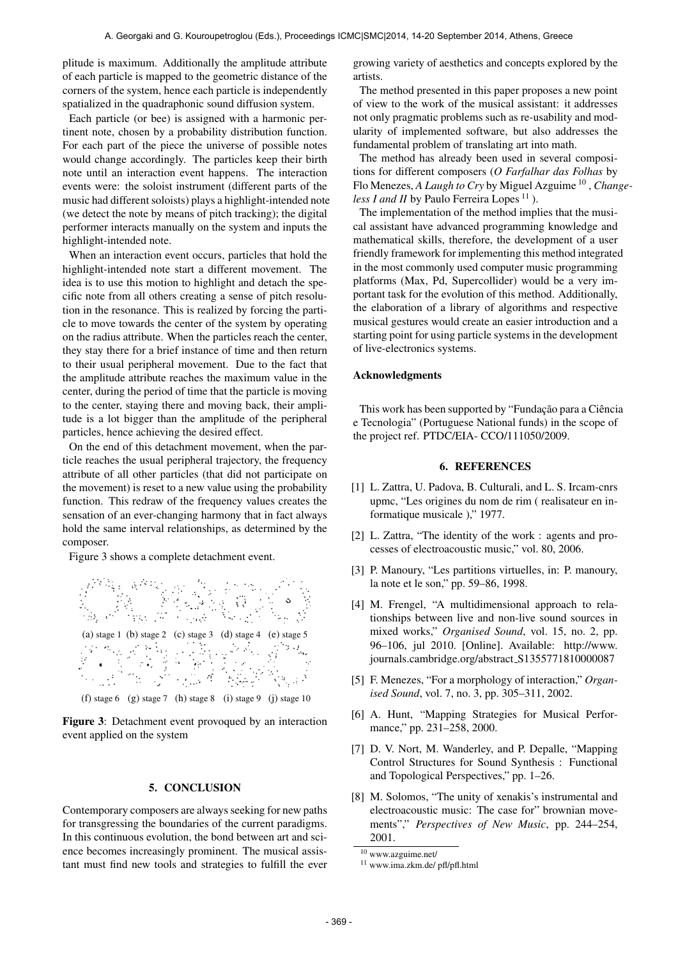plitude is maximum. Additionally the amplitude attribute of each particle is mapped to the geometric distance of the corners of the system, hence each particle is independently spatialized in the quadraphonic sound diffusion system.

Each particle (or bee) is assigned with a harmonic pertinent note, chosen by a probability distribution function. For each part of the piece the universe of possible notes would change accordingly. The particles keep their birth note until an interaction event happens. The interaction events were: the soloist instrument (different parts of the music had different soloists) plays a highlight-intended note (we detect the note by means of pitch tracking); the digital performer interacts manually on the system and inputs the highlight-intended note.

When an interaction event occurs, particles that hold the highlight-intended note start a different movement. The idea is to use this motion to highlight and detach the specific note from all others creating a sense of pitch resolution in the resonance. This is realized by forcing the particle to move towards the center of the system by operating on the radius attribute. When the particles reach the center, they stay there for a brief instance of time and then return to their usual peripheral movement. Due to the fact that the amplitude attribute reaches the maximum value in the center, during the period of time that the particle is moving to the center, staying there and moving back, their amplitude is a lot bigger than the amplitude of the peripheral particles, hence achieving the desired effect.

On the end of this detachment movement, when the particle reaches the usual peripheral trajectory, the frequency attribute of all other particles (that did not participate on the movement) is reset to a new value using the probability function. This redraw of the frequency values creates the sensation of an ever-changing harmony that in fact always hold the same interval relationships, as determined by the composer.

Figure 3 shows a complete detachment event.



(f) stage 6 (g) stage 7 (h) stage 8 (i) stage 9 (j) stage 10

Figure 3: Detachment event provoqued by an interaction event applied on the system

### 5. CONCLUSION

Contemporary composers are always seeking for new paths for transgressing the boundaries of the current paradigms. In this continuous evolution, the bond between art and science becomes increasingly prominent. The musical assistant must find new tools and strategies to fulfill the ever growing variety of aesthetics and concepts explored by the artists.

The method presented in this paper proposes a new point of view to the work of the musical assistant: it addresses not only pragmatic problems such as re-usability and modularity of implemented software, but also addresses the fundamental problem of translating art into math.

The method has already been used in several compositions for different composers (*O Farfalhar das Folhas* by Flo Menezes, *A Laugh to Cry* by Miguel Azguime<sup>10</sup>, *Changeless I and II* by Paulo Ferreira Lopes<sup>11</sup>).

The implementation of the method implies that the musical assistant have advanced programming knowledge and mathematical skills, therefore, the development of a user friendly framework for implementing this method integrated in the most commonly used computer music programming platforms (Max, Pd, Supercollider) would be a very important task for the evolution of this method. Additionally, the elaboration of a library of algorithms and respective musical gestures would create an easier introduction and a starting point for using particle systems in the development of live-electronics systems.

#### Acknowledgments

This work has been supported by "Fundação para a Ciência e Tecnologia" (Portuguese National funds) in the scope of the project ref. PTDC/EIA- CCO/111050/2009.

#### 6. REFERENCES

- [1] L. Zattra, U. Padova, B. Culturali, and L. S. Ircam-cnrs upmc, "Les origines du nom de rim ( realisateur en informatique musicale )," 1977.
- [2] L. Zattra, "The identity of the work : agents and processes of electroacoustic music," vol. 80, 2006.
- [3] P. Manoury, "Les partitions virtuelles, in: P. manoury, la note et le son," pp. 59–86, 1998.
- [4] M. Frengel, "A multidimensional approach to relationships between live and non-live sound sources in mixed works," *Organised Sound*, vol. 15, no. 2, pp. 96–106, jul 2010. [Online]. Available: [http://www.](http://www.journals.cambridge.org/abstract_S1355771810000087) [journals.cambridge.org/abstract](http://www.journals.cambridge.org/abstract_S1355771810000087)\_S1355771810000087
- [5] F. Menezes, "For a morphology of interaction," *Organised Sound*, vol. 7, no. 3, pp. 305–311, 2002.
- [6] A. Hunt, "Mapping Strategies for Musical Performance," pp. 231-258, 2000.
- [7] D. V. Nort, M. Wanderley, and P. Depalle, "Mapping Control Structures for Sound Synthesis : Functional and Topological Perspectives," pp. 1–26.
- [8] M. Solomos, "The unity of xenakis's instrumental and electroacoustic music: The case for" brownian movements"," *Perspectives of New Music*, pp. 244–254, 2001.

 $10$  www.azguime.net/

<sup>11</sup> www.ima.zkm.de/ pfl/pfl.html